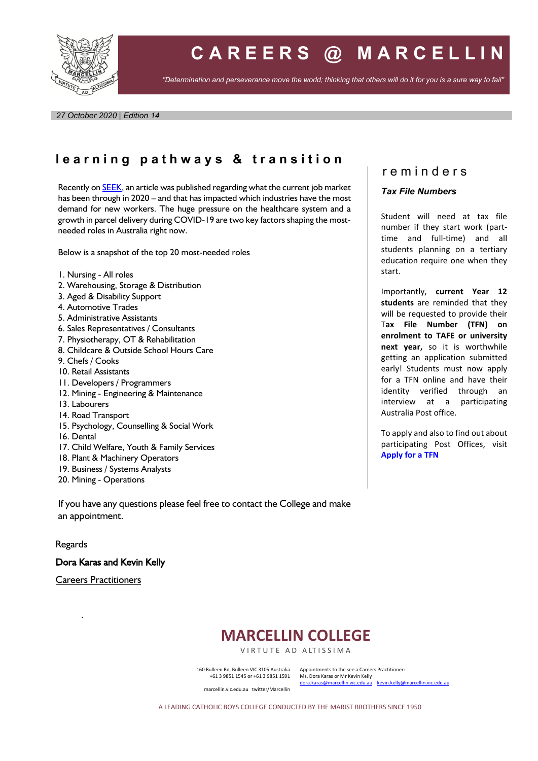

# **C A R E E R S @ M A R C E L L I N**

*"Determination and perseverance move the world; thinking that others will do it for you is a sure way to fail"*

*27 October 2020 | Edition 14*

# **l e a r n i n g p a t h w a y s & t r a n s i t i o n**

Recently o[n SEEK,](https://www.seek.com.au/career-advice/article/australias-most-needed-jobs?fbclid=IwAR2ilw2ehYoNoqjBz_b8TMuXRQQ0W5icrSntM_RrIxUKsUZ72vs7DywfY5U) an article was published regarding what the current job market has been through in 2020 – and that has impacted which industries have the most demand for new workers. The huge pressure on the healthcare system and a growth in parcel delivery during COVID-19 are two key factors shaping the mostneeded roles in Australia right now.

Below is a snapshot of the top 20 most-needed roles

- 1. Nursing All roles
- 2. Warehousing, Storage & Distribution
- 3. Aged & Disability Support
- 4. Automotive Trades
- 5. Administrative Assistants
- 6. Sales Representatives / Consultants
- 7. Physiotherapy, OT & Rehabilitation
- 8. Childcare & Outside School Hours Care
- 9. Chefs / Cooks
- 10. Retail Assistants
- 11. Developers / Programmers
- 12. Mining Engineering & Maintenance
- 13. Labourers
- 14. Road Transport
- 15. Psychology, Counselling & Social Work
- 16. Dental
- 17. Child Welfare, Youth & Family Services
- 18. Plant & Machinery Operators
- 19. Business / Systems Analysts
- 20. Mining Operations

If you have any questions please feel free to contact the College and make an appointment.

Regards

Dora Karas and Kevin Kelly

Careers Practitioners

.

# **MARCELLIN COLLEGE**

VIRTUTE AD ALTISSIMA

160 Bulleen Rd, Bulleen VIC 3105 Australia +61 3 9851 1545 or +61 3 9851 1591 Appointments to the see a Careers Practitioner: Ms. Dora Karas or Mr Kevin Kelly [dora.karas@marcellin.vic.edu.au](mailto:dora.karas@marcellin.vic.edu.au) [kevin.kelly@marcellin.vic.edu.au](mailto:kevin.kelly@marcellin.vic.edu.au)

marcellin.vic.edu.au twitter/Marcellin

A LEADING CATHOLIC BOYS COLLEGE CONDUCTED BY THE MARIST BROTHERS SINCE 1950

## r e m i n d e r s

#### *Tax File Numbers*

Student will need at tax file number if they start work (parttime and full-time) and all students planning on a tertiary education require one when they start.

Importantly, **current Year 12 students** are reminded that they will be requested to provide their T**ax File Number (TFN) on enrolment to TAFE or university next year,** so it is worthwhile getting an application submitted early! Students must now apply for a TFN online and have their identity verified through an interview at a participating Australia Post office.

To apply and also to find out about participating Post Offices, visit **Apply for a TFN**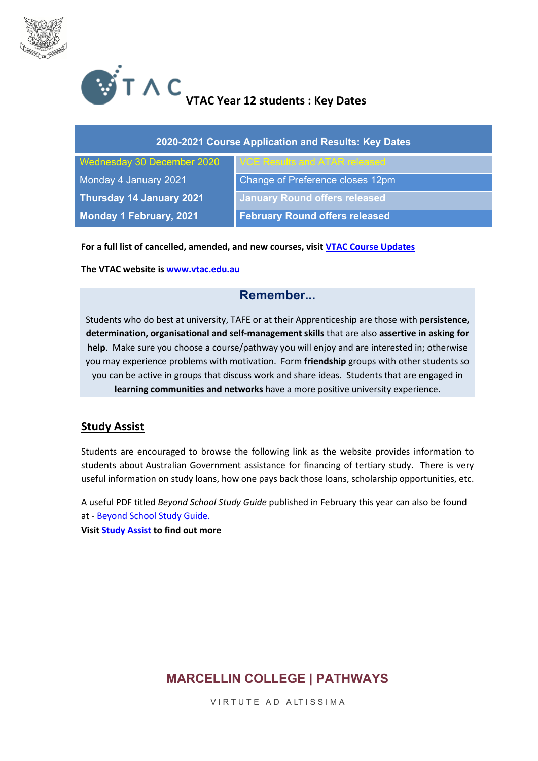



| 2020-2021 Course Application and Results: Key Dates |                                       |
|-----------------------------------------------------|---------------------------------------|
| Wednesday 30 December 2020                          | VCE Results and ATAR released         |
| Monday 4 January 2021                               | Change of Preference closes 12pm      |
| Thursday 14 January 2021                            | <b>January Round offers released</b>  |
| <b>Monday 1 February, 2021</b>                      | <b>February Round offers released</b> |

**For a full list of cancelled, amended, and new courses, visit [VTAC Course Updates](http://www.vtac.edu.au/courses-inst/courseupdates.html)**

**The VTAC website is [www.vtac.edu.au](http://www.vtac.edu.au/)**

## **Remember...**

Students who do best at university, TAFE or at their Apprenticeship are those with **persistence, determination, organisational and self-management skills** that are also **assertive in asking for help**. Make sure you choose a course/pathway you will enjoy and are interested in; otherwise you may experience problems with motivation. Form **friendship** groups with other students so you can be active in groups that discuss work and share ideas. Students that are engaged in **learning communities and networks** have a more positive university experience.

## **Study Assist**

Students are encouraged to browse the following link as the website provides information to students about Australian Government assistance for financing of tertiary study. There is very useful information on study loans, how one pays back those loans, scholarship opportunities, etc.

A useful PDF titled *Beyond School Study Guide* published in February this year can also be found at - [Beyond School Study Guide.](https://www.studyassist.gov.au/BSSG)

**Visi[t Study Assist](https://www.studyassist.gov.au/) to find out more**

## **MARCELLIN COLLEGE | PATHWAYS**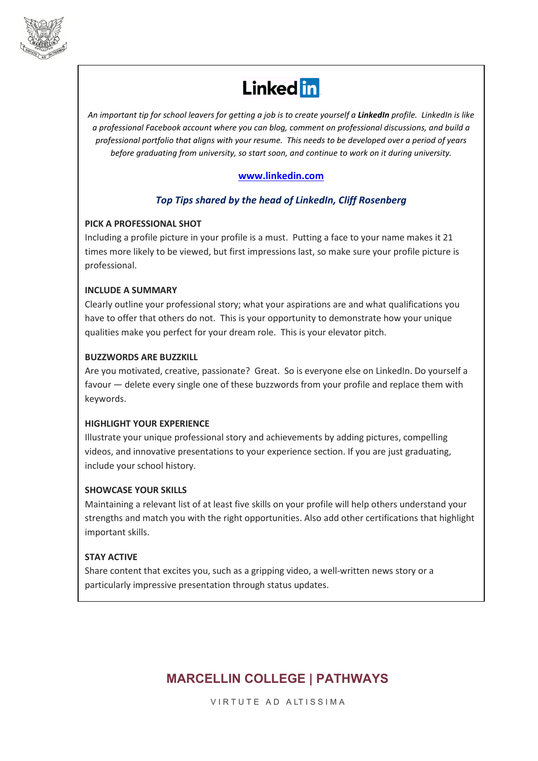

# **Linked** in

*An important tip for school leavers for getting a job is to create yourself a LinkedIn profile. LinkedIn is like a professional Facebook account where you can blog, comment on professional discussions, and build a professional portfolio that aligns with your resume. This needs to be developed over a period of years before graduating from university, so start soon, and continue to work on it during university.*

## **[www.linkedin.com](http://www.linkedin.com/)**

## *Top Tips shared by the head of LinkedIn, Cliff Rosenberg*

#### **PICK A PROFESSIONAL SHOT**

Including a profile picture in your profile is a must. Putting a face to your name makes it 21 times more likely to be viewed, but first impressions last, so make sure your profile picture is professional.

## **INCLUDE A SUMMARY**

Clearly outline your professional story; what your aspirations are and what qualifications you have to offer that others do not. This is your opportunity to demonstrate how your unique qualities make you perfect for your dream role. This is your elevator pitch.

#### **BUZZWORDS ARE BUZZKILL**

Are you motivated, creative, passionate? Great. So is everyone else on LinkedIn. Do yourself a favour — delete every single one of these buzzwords from your profile and replace them with keywords.

## **HIGHLIGHT YOUR EXPERIENCE**

Illustrate your unique professional story and achievements by adding pictures, compelling videos, and innovative presentations to your experience section. If you are just graduating, include your school history.

## **SHOWCASE YOUR SKILLS**

Maintaining a relevant list of at least five skills on your profile will help others understand your strengths and match you with the right opportunities. Also add other certifications that highlight important skills.

## **STAY ACTIVE**

Share content that excites you, such as a gripping video, a well-written news story or a particularly impressive presentation through status updates.

# **MARCELLIN COLLEGE | PATHWAYS**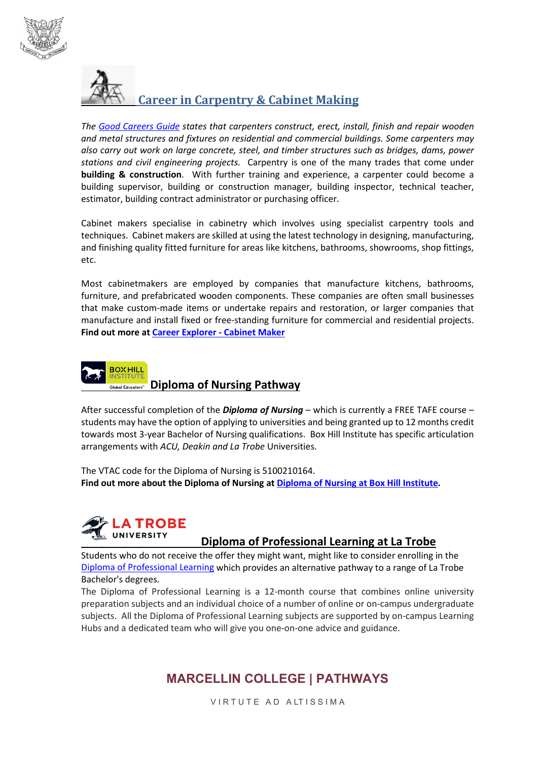



*The [Good Careers Guide](https://www.gooduniversitiesguide.com.au/careers-guide/browse/carpenter) states that carpenters construct, erect, install, finish and repair wooden and metal structures and fixtures on residential and commercial buildings. Some carpenters may also carry out work on large concrete, steel, and timber structures such as bridges, dams, power stations and civil engineering projects.* Carpentry is one of the many trades that come under **building & construction**. With further training and experience, a carpenter could become a building supervisor, building or construction manager, building inspector, technical teacher, estimator, building contract administrator or purchasing officer.

Cabinet makers specialise in cabinetry which involves using specialist carpentry tools and techniques. Cabinet makers are skilled at using the latest technology in designing, manufacturing, and finishing quality fitted furniture for areas like kitchens, bathrooms, showrooms, shop fittings, etc.

Most cabinetmakers are employed by companies that manufacture kitchens, bathrooms, furniture, and prefabricated wooden components. These companies are often small businesses that make custom-made items or undertake repairs and restoration, or larger companies that manufacture and install fixed or free-standing furniture for commercial and residential projects. **Find out more a[t Career Explorer -](https://www.careerexplorer.com/careers/cabinetmaker/) Cabinet Maker**



After successful completion of the *Diploma of Nursing* – which is currently a FREE TAFE course – students may have the option of applying to universities and being granted up to 12 months credit towards most 3-year Bachelor of Nursing qualifications. Box Hill Institute has specific articulation arrangements with *ACU, Deakin and La Trobe* Universities.

The VTAC code for the Diploma of Nursing is 5100210164. **Find out more about the Diploma of Nursing a[t Diploma of Nursing at Box Hill Institute.](https://www.boxhill.edu.au/courses/diploma-of-nursing-hc543-d/)**



## **Diploma of Professional Learning at La Trobe**

Students who do not receive the offer they might want, might like to consider enrolling in the [Diploma of Professional Learning](https://www.latrobe.edu.au/courses/diploma-of-professional-learning) which provides an alternative pathway to a range of La Trobe Bachelor's degrees.

The Diploma of Professional Learning is a 12-month course that combines online university preparation subjects and an individual choice of a number of online or on-campus undergraduate subjects. All the Diploma of Professional Learning subjects are supported by on-campus Learning Hubs and a dedicated team who will give you one-on-one advice and guidance.

# **MARCELLIN COLLEGE | PATHWAYS**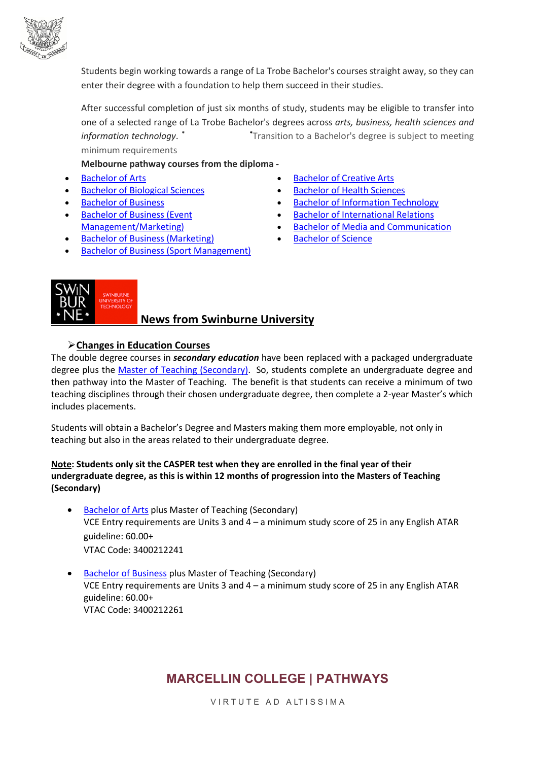

Students begin working towards a range of La Trobe Bachelor's courses straight away, so they can enter their degree with a foundation to help them succeed in their studies.

After successful completion of just six months of study, students may be eligible to transfer into one of a selected range of La Trobe Bachelor's degrees across *arts, business, health sciences and information technology*. **\* \*** Transition to a Bachelor's degree is subject to meeting minimum requirements

**Melbourne pathway courses from the diploma -**

- **[Bachelor of Arts](https://www.latrobe.edu.au/courses/bachelor-of-arts)**
- [Bachelor of Biological Sciences](https://www.latrobe.edu.au/courses/bachelor-of-biological-sciences)
- [Bachelor of Business](https://www.latrobe.edu.au/courses/bachelor-of-business)
- [Bachelor of Business \(Event](https://www.latrobe.edu.au/courses/bachelor-of-business-event-management-marketing)  [Management/Marketing\)](https://www.latrobe.edu.au/courses/bachelor-of-business-event-management-marketing)
- [Bachelor of Business \(Marketing\)](https://www.latrobe.edu.au/courses/bachelor-of-business-marketing)
- [Bachelor of Business \(Sport Management\)](https://www.latrobe.edu.au/courses/bachelor-of-business-sport-management)
- [Bachelor of Creative Arts](https://www.latrobe.edu.au/courses/bachelor-of-creative-arts)
- [Bachelor of Health Sciences](https://www.latrobe.edu.au/courses/bachelor-of-health-sciences)
- [Bachelor of Information Technology](https://www.latrobe.edu.au/courses/bachelor-of-information-technology)
- [Bachelor of International Relations](https://www.latrobe.edu.au/courses/bachelor-of-international-relations)
- [Bachelor of Media and Communication](https://www.latrobe.edu.au/courses/bachelor-of-media-and-communication)
- **[Bachelor of Science](https://www.latrobe.edu.au/courses/bachelor-of-science)**



## **News from Swinburne University**

**Changes in Education Courses**

The double degree courses in *secondary education* have been replaced with a packaged undergraduate degree plus the [Master of Teaching \(Secondary\).](https://www.swinburne.edu.au/study/course/Master-of-Teaching-(Secondary)-MA-TEASC/local) So, students complete an undergraduate degree and then pathway into the Master of Teaching. The benefit is that students can receive a minimum of two teaching disciplines through their chosen undergraduate degree, then complete a 2-year Master's which includes placements.

Students will obtain a Bachelor's Degree and Masters making them more employable, not only in teaching but also in the areas related to their undergraduate degree.

#### **Note: Students only sit the CASPER test when they are enrolled in the final year of their undergraduate degree, as this is within 12 months of progression into the Masters of Teaching (Secondary)**

- [Bachelor of Arts](https://www.swinburne.edu.au/study/course/bachelor-of-arts) plus Master of Teaching (Secondary) VCE Entry requirements are Units 3 and 4 – a minimum study score of 25 in any English ATAR guideline: 60.00+ VTAC Code: 3400212241
- [Bachelor of Business](https://www.swinburne.edu.au/study/course/bachelor-of-business) plus Master of Teaching (Secondary) VCE Entry requirements are Units 3 and 4 – a minimum study score of 25 in any English ATAR guideline: 60.00+ VTAC Code: 3400212261

# **MARCELLIN COLLEGE | PATHWAYS**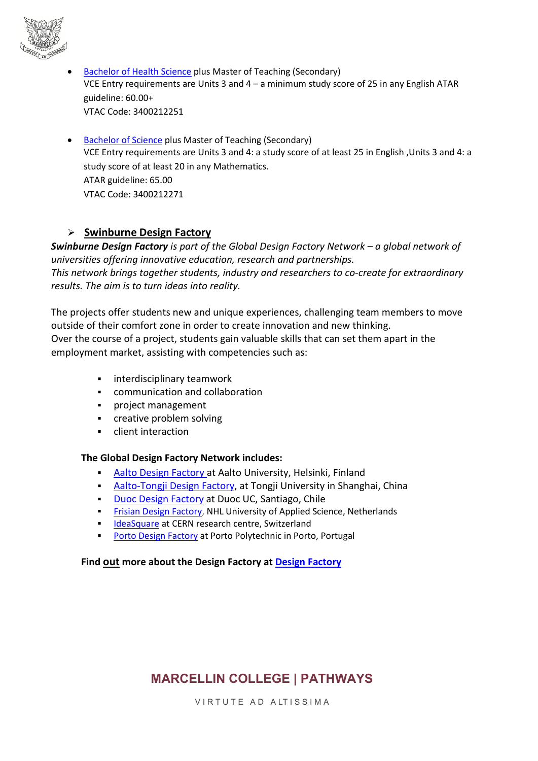

- [Bachelor of Health Science](https://www.swinburne.edu.au/study/course/bachelor-of-health-science) plus Master of Teaching (Secondary) VCE Entry requirements are Units 3 and 4 – a minimum study score of 25 in any English ATAR guideline: 60.00+ VTAC Code: 3400212251
- [Bachelor of Science](https://www.swinburne.edu.au/study/course/bachelor-of-science) plus Master of Teaching (Secondary) VCE Entry requirements are Units 3 and 4: a study score of at least 25 in English ,Units 3 and 4: a study score of at least 20 in any Mathematics. ATAR guideline: 65.00 VTAC Code: 3400212271

## **Swinburne Design Factory**

*Swinburne Design Factory is part of the Global Design Factory Network – a global network of universities offering innovative education, research and partnerships. This network brings together students, industry and researchers to co-create for extraordinary results. The aim is to turn ideas into reality.*

The projects offer students new and unique experiences, challenging team members to move outside of their comfort zone in order to create innovation and new thinking. Over the course of a project, students gain valuable skills that can set them apart in the employment market, assisting with competencies such as:

- **EXEC** interdisciplinary teamwork
- communication and collaboration
- **•** project management
- **•** creative problem solving
- client interaction

## **The Global Design Factory Network includes:**

- [Aalto Design Factory](http://www.aaltodesignfactory.fi/) at Aalto University, Helsinki, Finland
- [Aalto-Tongji Design Factory,](http://sinofinnishcentre.org/beta/?lang=en) at Tongji University in Shanghai, China
- **[Duoc Design Factory](http://www.duoc.cl/designfactory/) at Duoc UC, Santiago, Chile**
- [Frisian Design Factory,](http://frisiandesignfactory.nl/) NHL University of Applied Science, Netherlands
- Interaction and CERN research centre, Switzerland
- [Porto Design Factory](https://www.facebook.com/portodesignfactory) at Porto Polytechnic in Porto, Portugal

## **Find out more about the Design Factory a[t Design Factory](http://www.swinburne.edu.au/design/design-factory/)**

# **MARCELLIN COLLEGE | PATHWAYS**